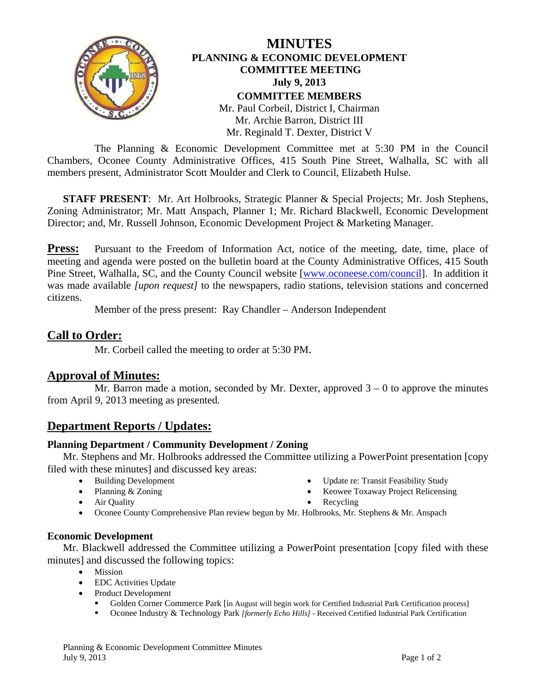

### **MINUTES PLANNING & ECONOMIC DEVELOPMENT COMMITTEE MEETING July 9, 2013 COMMITTEE MEMBERS**  Mr. Paul Corbeil, District I, Chairman Mr. Archie Barron, District III Mr. Reginald T. Dexter, District V

 The Planning & Economic Development Committee met at 5:30 PM in the Council Chambers, Oconee County Administrative Offices, 415 South Pine Street, Walhalla, SC with all members present, Administrator Scott Moulder and Clerk to Council, Elizabeth Hulse.

**STAFF PRESENT:** Mr. Art Holbrooks, Strategic Planner & Special Projects; Mr. Josh Stephens, Zoning Administrator; Mr. Matt Anspach, Planner 1; Mr. Richard Blackwell, Economic Development Director; and, Mr. Russell Johnson, Economic Development Project & Marketing Manager.

**Press:** Pursuant to the Freedom of Information Act, notice of the meeting, date, time, place of meeting and agenda were posted on the bulletin board at the County Administrative Offices, 415 South Pine Street, Walhalla, SC, and the County Council website [www.oconeese.com/council]. In addition it was made available *[upon request]* to the newspapers, radio stations, television stations and concerned citizens.

Member of the press present: Ray Chandler – Anderson Independent

## **Call to Order:**

Mr. Corbeil called the meeting to order at 5:30 PM.

#### **Approval of Minutes:**

Mr. Barron made a motion, seconded by Mr. Dexter, approved  $3 - 0$  to approve the minutes from April 9, 2013 meeting as presented.

## **Department Reports / Updates:**

#### **Planning Department / Community Development / Zoning**

 Mr. Stephens and Mr. Holbrooks addressed the Committee utilizing a PowerPoint presentation [copy filed with these minutes] and discussed key areas:

Building Development

• Planning & Zoning

- Update re: Transit Feasibility Study
- Keowee Toxaway Project Relicensing
- Recycling

• Oconee County Comprehensive Plan review begun by Mr. Holbrooks, Mr. Stephens & Mr. Anspach

#### **Economic Development**

• Air Quality

Mr. Blackwell addressed the Committee utilizing a PowerPoint presentation [copy filed with these minutes] and discussed the following topics:

- Mission
- EDC Activities Update
- Product Development
	- Golden Corner Commerce Park [in August will begin work for Certified Industrial Park Certification process]
	- Oconee Industry & Technology Park *[formerly Echo Hills]* Received Certified Industrial Park Certification